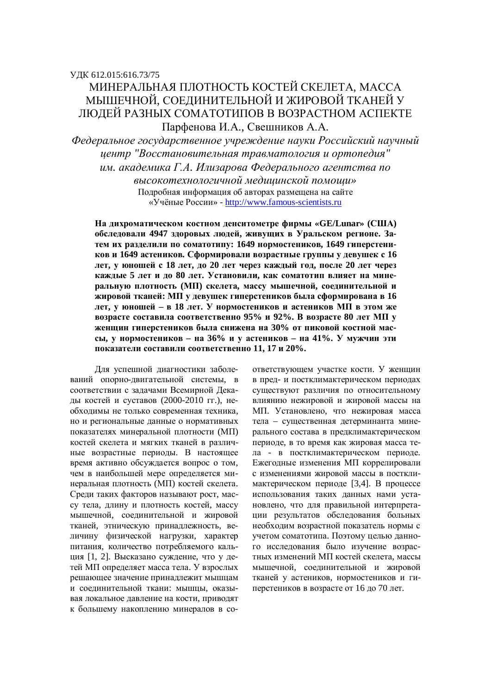# МИНЕРАЛЬНАЯ ПЛОТНОСТЬ КОСТЕЙ СКЕЛЕТА, МАССА МЫШЕЧНОЙ, СОЕДИНИТЕЛЬНОЙ И ЖИРОВОЙ ТКАНЕЙ У ЛЮДЕЙ РАЗНЫХ СОМАТОТИПОВ В ВОЗРАСТНОМ АСПЕКТЕ Парфенова И.А., Свешников А.А.

*ɎɟɞɟɪɚɥɶɧɨɟɝɨɫɭɞɚɪɫɬɜɟɧɧɨɟɭɱɪɟɠɞɟɧɢɟɧɚɭɤɢɊɨɫɫɢɣɫɤɢɣɧɚɭɱɧɵɣ* иентр "Восстановительная травматология и ортопедия" **им. академика Г.А. Илизарова Федерального агентства по** 

> высокотехнологичной медицинской помощи» Подробная информация об авторах размещена на сайте «Учёные России» - http://www.famous-scientists.ru

На дихроматическом костном денситометре фирмы «GE/Lunar» (США) **обследовали 4947 здоровых людей, живущих в Уральском регионе. За**тем их разделили по соматотипу: 1649 нормостеников, 1649 гиперстени**ков и 1649 астеников. Сформировали возрастные группы у девушек с 16** лет, у юношей с 18 лет, до 20 лет через каждый год, после 20 лет через **каждые 5 лет и до 80 лет. Установили, как соматотип влияет на минеизльную плотность (МП) скелета, массу мышечной, соединительной и ЖИРОВОЙ ТКАНЕЙ: МП У ДЕВУШЕК ГИПЕРСТЕНИКОВ была сформирована в 16** дет, у юношей – в 18 лет. У нормостеников и астеников МП в этом же **возрасте составила соответственно 95% и 92%. В возрасте 80 лет МП у женщин гиперстеников была снижена на 30% от пиковой костной мас**сы, у нормостеников – на 36% и у астеников – на 41%. У мужчин эти показатели составили соответственно 11, 17 и 20%.

Для успешной диагностики заболеваний опорно-двигательной системы, в соответствии с задачами Всемирной Декады костей и суставов (2000-2010 гг.), необходимы не только современная техника, но и региональные ланные о нормативных показателях минеральной плотности (МП) костей скелета и мягких тканей в различные возрастные периоды. В настоящее время активно обсуждается вопрос о том, чем в наибольшей мере определяется минеральная плотность (МП) костей скелета. Среди таких факторов называют рост, массу тела, длину и плотность костей, массу мышечной, соелинительной и жировой тканей, этническую принадлежность, величину физической нагрузки, характер питания, количество потребляемого кальция [1, 2]. Высказано суждение, что у детей МП определяет масса тела. У взрослых решающее значение принадлежит мышцам и соединительной ткани: мышцы, оказывая локальное давление на кости, приводят к большему накоплению минералов в соответствующем участке кости. У женщин в пред- и постклимактерическом периодах существуют различия по относительному влиянию нежировой и жировой массы на МП. Установлено, что нежировая масса тела – существенная детерминанта минерального состава в предклимактерическом периоде, в то время как жировая масса тела - в постклимактерическом периоде. Ежегодные изменения МП коррелировали с изменениями жировой массы в постклимактерическом периоде [3,4]. В процессе использования таких данных нами установлено, что для правильной интерпретации результатов обследования больных необходим возрастной показатель нормы с учетом соматотипа. Поэтому целью данного исследования было изучение возрастных изменений МП костей скелета, массы мышечной, соединительной и жировой тканей у астеников, нормостеников и гиперстеников в возрасте от 16 до 70 лет.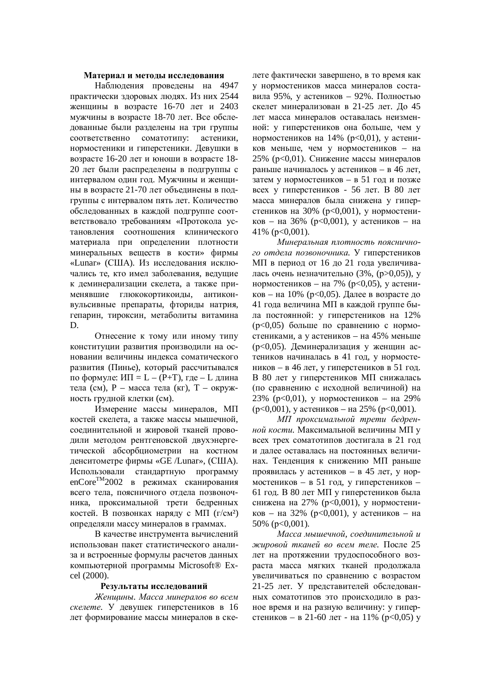#### Материал и методы исследования

Наблюдения проведены на 4947 практически здоровых людях. Из них 2544 женщины в возрасте 16-70 лет и 2403 мужчины в возрасте 18-70 лет. Все обследованные были разделены на три группы соответственно соматотипу: астеники, нормостеники и гиперстеники. Девушки в возрасте 16-20 лет и юноши в возрасте 18-20 лет были распределены в подгруппы с интервалом один год. Мужчины и женщины в возрасте 21-70 лет объединены в подгруппы с интервалом пять лет. Количество обследованных в каждой подгруппе соответствовало требованиям «Протокола установления соотношения клинического материала при определении плотности минеральных веществ в кости» фирмы «Lunar» (США). Из исследования исключались те, кто имел заболевания, ведущие к деминерализации скелета, а также применявшие глюкокортикоиды, антиконвульсивные препараты, фториды натрия, гепарин, тироксин, метаболиты витамина D.

Отнесение к тому или иному типу конституции развития производили на основании величины индекса соматического развития (Пинье), который рассчитывался по формуле:  $M\Pi = L - (P+T)$ , где – L длина тела (см),  $P$  – масса тела (кг),  $T$  – окружность грудной клетки (см).

Измерение массы минералов, МП костей скелета, а также массы мышечной, соединительной и жировой тканей проводили методом рентгеновской двухэнергетической абсорбциометрии на костном денситометре фирмы «GE /Lunar», (США). Использовали стандартную программу enCore<sup>TM</sup>2002 в режимах сканирования всего тела, поясничного отдела позвоночника, проксимальной трети бедренных костей. В позвонках наряду с МП  $(r/cm^2)$ определяли массу минералов в граммах.

В качестве инструмента вычислений использован пакет статистического анализа и встроенные формулы расчетов данных компьютерной программы Microsoft® Excel (2000).

## Результаты исследований

Женшины. Масса минералов во всем *скелете.* У девушек гиперстеников в 16 лет формирование массы минералов в скелете фактически завершено, в то время как у нормостеников масса минералов составила 95%, у астеников – 92%. Полностью скелет минерализован в 21-25 лет. До 45 лет масса минералов оставалась неизменной: у гиперстеников она больше, чем у нормостеников на 14% ( $p<0,01$ ), у астеников меньше, чем у нормостеников – на 25% (р<0,01). Снижение массы минералов раньше начиналось у астеников – в 46 лет, затем у нормостеников – в 51 год и позже всех у гиперстеников - 56 лет. В 80 лет масса минералов была снижена у гиперстеников на 30% (p<0,001), у нормостеников – на 36% ( $p<0,001$ ), у астеников – на 41% ( $p<0,001$ ).

*Ɇɢɧɟɪɚɥɶɧɚɹɩɥɨɬɧɨɫɬɶɩɨɹɫɧɢɱɧɨ*го отдела позвоночника. У гиперстеников МП в период от 16 до 21 года увеличивалась очень незначительно  $(3\%, (p>0,05))$ , у нормостеников – на 7% (р<0,05), у астени- $\kappa$ ов – на 10% (р<0,05). Далее в возрасте до 41 года величина МП в каждой группе была постоянной: у гиперстеников на 12%  $(p<0.05)$  больше по сравнению с нормостениками, а у астеников – на 45% меньше (p<0,05). Деминерализация у женщин астеников начиналась в 41 год, у нормостеников – в 46 лет, у гиперстеников в 51 год. В 80 лет у гиперстеников МП снижалась (по сравнению с исходной величиной) на 23% (р<0,01), у нормостеников – на 29%  $(p<0,001)$ , у астеников – на 25% ( $p<0,001$ ).

МП проксимальной трети бедрен*ной кости*. Максимальной величины МП у всех трех соматотипов достигала в 21 год и далее оставалась на постоянных величинах. Тенденция к снижению МП раньше проявилась у астеников – в 45 лет, у нормостеников – в 51 год, у гиперстеников – 61 год. В 80 лет МП у гиперстеников была снижена на 27% (р<0,001), у нормостеников – на 32% ( $p<0,001$ ), у астеников – на 50% ( $p<0,001$ ).

Масса мышечной, соединительной и жировой тканей во всем теле. После 25 лет на протяжении трудоспособного возраста масса мягких тканей продолжала увеличиваться по сравнению с возрастом 21-25 лет. У представителей обследованных соматотипов это происходило в разное время и на разную величину: у гиперстеников – в 21-60 лет - на 11% ( $p<0,05$ ) у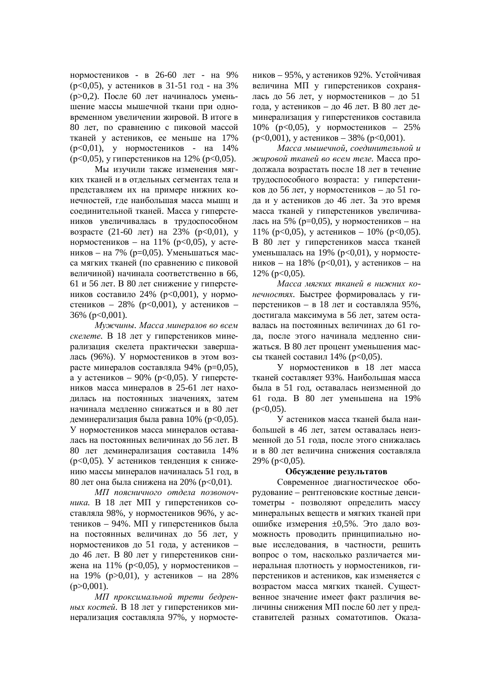нормостеников - в 26-60 лет - на 9% (р<0,05), у астеников в 31-51 год - на 3%  $(p>0.2)$ . После 60 лет начиналось уменьшение массы мышечной ткани при одновременном увеличении жировой. В итоге в 80 лет, по сравнению с пиковой массой тканей у астеников, ее меньше на 17%  $(p<0,01)$ , у нормостеников - на 14%  $(p<0.05)$ , у гиперстеников на 12% ( $p<0.05$ ).

Мы изучили также изменения мягких тканей и в отдельных сегментах тела и представляем их на примере нижних конечностей, где наибольшая масса мышц и соединительной тканей. Масса у гиперстеников увеличивалась в трудоспособном возрасте (21-60 лет) на 23% ( $p<0,01$ ), у нормостеников – на 11% ( $p<0,05$ ), у астеников – на 7% ( $p=0,05$ ). Уменьшаться масса мягких тканей (по сравнению с пиковой величиной) начинала соответственно в 66, 61 и 56 лет. В 80 лет снижение у гиперстеников составило 24% ( $p<0.001$ ), у нормостеников – 28% ( $p < 0.001$ ), у астеников – 36% (p<0,001).

*Ɇɭɠɱɢɧɵ. Ɇɚɫɫɚɦɢɧɟɪɚɥɨɜɜɨɜɫɟɦ* скелете. В 18 лет у гиперстеников минерализация скелета практически завершадась (96%). У нормостеников в этом возрасте минералов составляла 94% ( $p=0.05$ ), а у астеников – 90% ( $p < 0.05$ ). У гиперстеников масса минералов в 25-61 лет находилась на постоянных значениях, затем начинала медленно снижаться и в 80 лет деминерализация была равна 10% (р<0,05). У нормостеников масса минералов оставадась на постоянных величинах до 56 лет. В 80 лет деминерализация составила 14% (р<0,05). У астеников тенденция к снижению массы минералов начиналась 51 год, в 80 лет она была снижена на 20% (р<0,01).

МП поясничного отдела позвоночника. В 18 лет МП у гиперстеников составляла 98%, у нормостеников 96%, у астеников – 94%. МП у гиперстеников была на постоянных величинах до 56 лет, у нормостеников до 51 года, у астеников – до 46 лет. В 80 лет у гиперстеников снижена на 11% ( $p<0,05$ ), у нормостеников – на 19% ( $p > 0.01$ ), у астеников – на 28%  $(p>0.001)$ .

МП проксимальной трети бедренных костей. В 18 лет у гиперстеников минерализация составляла 97%, у нормостеников – 95%, у астеников 92%. Устойчивая величина МП у гиперстеников сохранялась до 56 лет, у нормостеников – до 51 года, у астеников – до 46 лет. В 80 лет деминерализация у гиперстеников составила 10% ( $p<0,05$ ), у нормостеников – 25%  $(p<0,001)$ , у астеников – 38% ( $p<0,001$ ).

Масса мышечной, соединительной и жировой тканей во всем теле. Масса продолжала возрастать после 18 лет в течение трудоспособного возраста: у гиперстеников до 56 лет, у нормостеников – до 51 года и у астеников до 46 лет. За это время масса тканей у гиперстеников увеличивалась на 5% ( $p=0,05$ ), у нормостеников – на 11% ( $p<0.05$ ), у астеников – 10% ( $p<0.05$ ). В 80 лет у гиперстеников масса тканей уменьшалась на 19% (p<0,01), у нормостеников – на 18% ( $p<0,01$ ), у астеников – на  $12\%$  ( $p<0.05$ ).

Масса мягких тканей в нижних конечностях. Быстрее формировалась у гиперстеников – в 18 лет и составляла 95%, достигала максимума в 56 лет, затем оставалась на постоянных величинах до 61 года, после этого начинала медленно снижаться. В 80 лет процент уменьшения массы тканей составил  $14%$  ( $p<0,05$ ).

У нормостеников в 18 лет масса тканей составляет 93%. Наибольшая масса была в 51 год, оставалась неизменной до 61 года. В 80 лет уменьшена на 19%  $(p<0.05)$ .

У астеников масса тканей была наибольшей в 46 лет, затем оставалась неизменной до 51 года, после этого снижалась и в 80 лет величина снижения составляла 29% ( $p<0,05$ ).

## Обсуждение результатов

Современное диагностическое оборудование – рентгеновские костные денситометры - позволяют определить массу минеральных веществ и мягких тканей при ошибке измерения ±0,5%. Это дало возможность проводить принципиально новые исследования, в частности, решить вопрос о том, насколько различается минеральная плотность у нормостеников, гиперстеников и астеников, как изменяется с возрастом масса мягких тканей. Существенное значение имеет факт различия величины снижения МП после 60 лет у представителей разных соматотипов. Оказа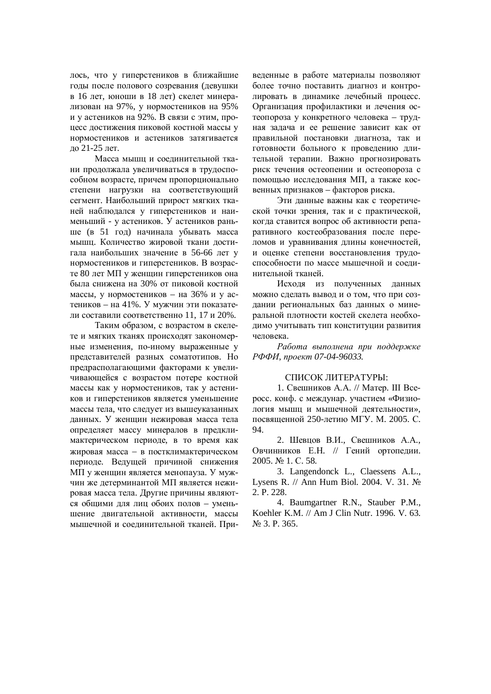лось, что у гиперстеников в ближайшие годы после полового созревания (девушки в 16 лет, юноши в 18 лет) скелет минерализован на 97%, у нормостеников на 95% и у астеников на 92%. В связи с этим, процесс достижения пиковой костной массы у нормостеников и астеников затягивается до 21-25 лет.

Масса мышц и соединительной ткани продолжала увеличиваться в трудоспособном возрасте, причем пропорционально степени нагрузки на соответствующий сегмент. Наибольший прирост мягких тканей наблюдался у гиперстеников и наименьший - у астеников. У астеников раньше (в 51 год) начинала убывать масса мышц. Количество жировой ткани достигала наибольших значение в 56-66 лет у нормостеников и гиперстеников. В возрасте 80 лет МП у женщин гиперстеников она была снижена на 30% от пиковой костной массы, у нормостеников – на 36% и у астеников – на 41%. У мужчин эти показатели составили соответственно 11, 17 и 20%.

Таким образом, с возрастом в скелете и мягких тканях происходят закономерные изменения, по-иному выраженные у представителей разных соматотипов. Но предрасполагающими факторами к увеличивающейся с возрастом потере костной массы как у нормостеников, так у астеников и гиперстеников является уменьшение массы тела, что следует из вышеуказанных данных. У женщин нежировая масса тела определяет массу минералов в предклимактерическом периоде, в то время как жировая масса - в постклимактерическом периоде. Ведущей причиной снижения МП у женщин является менопауза. У мужчин же детерминантой МП является нежировая масса тела. Другие причины являются общими для лиц обоих полов – уменьшение двигательной активности, массы мышечной и соединительной тканей. Приведенные в работе материалы позволяют более точно поставить диагноз и контролировать в линамике лечебный процесс. Организация профилактики и лечения остеопороза у конкретного человека – трудная задача и ее решение зависит как от правильной постановки диагноза, так и готовности больного к проведению длительной терапии. Важно прогнозировать риск течения остеопении и остеопороза с помощью исследования МП, а также косвенных признаков – факторов риска.

Эти данные важны как с теоретической точки зрения, так и с практической, когда ставится вопрос об активности репаративного костеобразования после переломов и уравнивания длины конечностей, и оценке степени восстановления трудоспособности по массе мышечной и соединительной тканей.

Исходя из полученных данных можно сделать вывод и о том, что при создании региональных баз данных о минеральной плотности костей скелета необходимо учитывать тип конституции развития человека.

Работа выполнена при поддержке  $P$ ФФИ, проект 07-04-96033.

## СПИСОК ЛИТЕРАТУРЫ∙

1. Свешников А.А. // Матер. III Всеросс. конф. с междунар. участием «Физиология мышц и мышечной деятельности». посвященной 250-летию МГУ. М. 2005. С. 94.

2. Шевцов В.И., Свешников А.А., Овчинников Е.Н. // Гений ортопедии. 2005. № 1. C. 58.

3. Langendonck L., Claessens A.L., Lysens R. // Ann Hum Biol. 2004. V. 31. No 2. P. 228.

4. Baumgartner R.N., Stauber P.M., Koehler K.M. // Am J Clin Nutr. 1996. V. 63. No 3. P. 365.